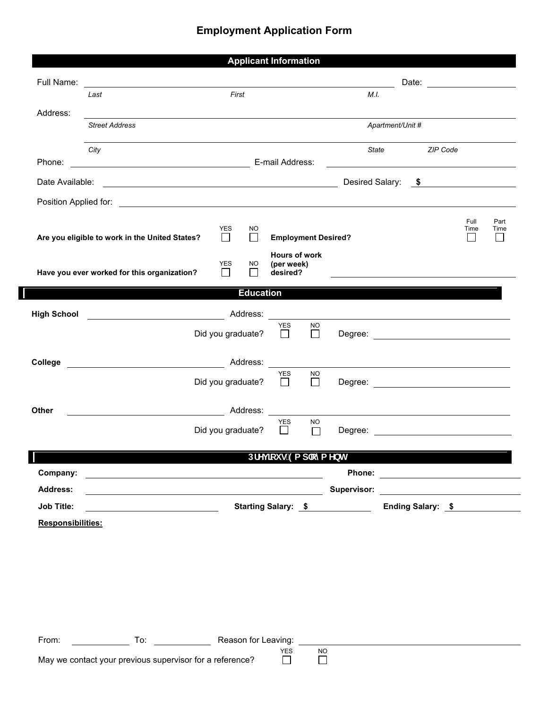## **Employment Application Form**

|                    |                                                |                   |                  | <b>Applicant Information</b>            |               |                                                                                                                |                  |          |                                                    |              |
|--------------------|------------------------------------------------|-------------------|------------------|-----------------------------------------|---------------|----------------------------------------------------------------------------------------------------------------|------------------|----------|----------------------------------------------------|--------------|
| Full Name:         |                                                |                   |                  |                                         |               |                                                                                                                |                  |          | Date: ___________________                          |              |
|                    | Last                                           | First             |                  |                                         |               | M.I.                                                                                                           |                  |          |                                                    |              |
| Address:           | <b>Street Address</b>                          |                   |                  |                                         |               |                                                                                                                | Apartment/Unit # |          |                                                    |              |
|                    | City                                           |                   |                  |                                         |               | State                                                                                                          |                  | ZIP Code |                                                    |              |
| Phone:             | E-mail Address:                                |                   |                  |                                         |               |                                                                                                                |                  |          |                                                    |              |
|                    |                                                |                   |                  |                                         |               |                                                                                                                |                  |          |                                                    |              |
|                    |                                                |                   |                  |                                         |               |                                                                                                                |                  |          |                                                    |              |
|                    | Are you eligible to work in the United States? | YES               | NO.<br>П         | <b>Employment Desired?</b>              |               |                                                                                                                |                  |          | Full<br>Time<br>$\mathsf{L}$                       | Part<br>Time |
|                    | Have you ever worked for this organization?    | <b>YES</b>        | NO.              | Hours of work<br>(per week)<br>desired? |               |                                                                                                                |                  |          |                                                    |              |
|                    |                                                |                   | <b>Education</b> |                                         |               |                                                                                                                |                  |          |                                                    |              |
| <b>High School</b> | Address:                                       |                   |                  |                                         |               |                                                                                                                |                  |          |                                                    |              |
|                    |                                                | Did you graduate? |                  | <b>YES</b><br>$\Box$                    | NO.<br>$\Box$ |                                                                                                                |                  |          |                                                    |              |
|                    |                                                |                   |                  |                                         |               |                                                                                                                |                  |          |                                                    |              |
| College            |                                                |                   |                  | <b>YES</b>                              | <b>NO</b>     |                                                                                                                |                  |          | <u> 1989 - John Stein, Amerikaansk politiker (</u> |              |
|                    |                                                | Did you graduate? |                  | $\Box$                                  | $\Box$        |                                                                                                                |                  |          |                                                    |              |
| Other              |                                                | <b>Address:</b>   |                  |                                         |               |                                                                                                                |                  |          |                                                    |              |
|                    |                                                | Did you graduate? |                  | <b>YES</b><br>$\perp$                   | NO.<br>П      |                                                                                                                |                  |          |                                                    |              |
|                    |                                                |                   |                  | DfYj]cig9ad`cmaYbh                      |               |                                                                                                                |                  |          |                                                    |              |
| Company:           |                                                |                   |                  |                                         |               |                                                                                                                |                  |          |                                                    |              |
| <b>Address:</b>    | <u> 2008 - Andrea Andrew Maria (h. 18</u>      |                   |                  |                                         |               | Supervisor: Entertainment of the state of the state of the state of the state of the state of the state of the |                  |          |                                                    |              |
| Job Title:         |                                                |                   |                  |                                         |               | Starting Salary: \$                                                                                            |                  |          | Ending Salary: \$                                  |              |
| Responsibilities:  |                                                |                   |                  |                                         |               |                                                                                                                |                  |          |                                                    |              |
|                    |                                                |                   |                  |                                         |               |                                                                                                                |                  |          |                                                    |              |
|                    |                                                |                   |                  |                                         |               |                                                                                                                |                  |          |                                                    |              |
|                    |                                                |                   |                  |                                         |               |                                                                                                                |                  |          |                                                    |              |
|                    |                                                |                   |                  |                                         |               |                                                                                                                |                  |          |                                                    |              |
|                    |                                                |                   |                  |                                         |               |                                                                                                                |                  |          |                                                    |              |

From: To: To: Reason for Leaving:

May we contact your previous supervisor for a reference?

YES NO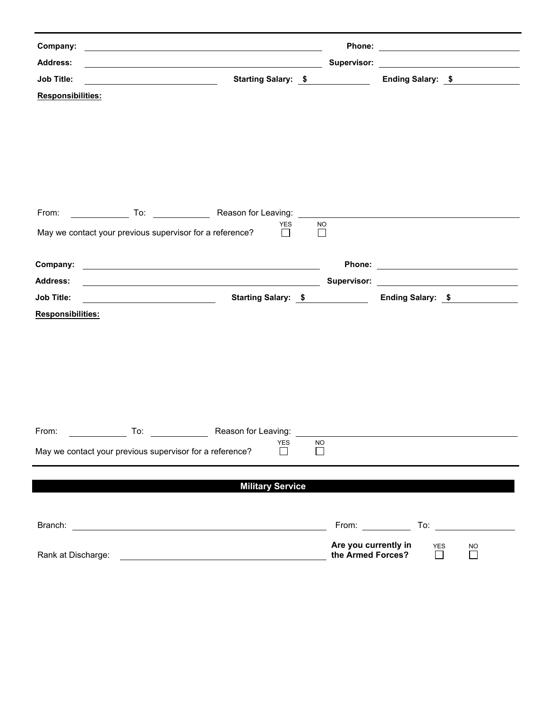| Company:                                                 | <u> 1980 - Johann Barn, mars eta bat erroman erroman erroman erroman erroman erroman erroman erroman erroman err</u>  |               |                                                                           |                      |                                                                                        |
|----------------------------------------------------------|-----------------------------------------------------------------------------------------------------------------------|---------------|---------------------------------------------------------------------------|----------------------|----------------------------------------------------------------------------------------|
| <b>Address:</b>                                          | <u> 1989 - Johann Barn, fransk politik formuler (d. 1989)</u>                                                         |               |                                                                           |                      | Supervisor: <u>www.community.community.community.community.community.community.com</u> |
| <b>Job Title:</b>                                        | Starting Salary: \$                                                                                                   |               |                                                                           |                      | Ending Salary: \$                                                                      |
| <b>Responsibilities:</b>                                 |                                                                                                                       |               |                                                                           |                      |                                                                                        |
|                                                          |                                                                                                                       |               |                                                                           |                      |                                                                                        |
|                                                          |                                                                                                                       |               |                                                                           |                      |                                                                                        |
|                                                          |                                                                                                                       |               |                                                                           |                      |                                                                                        |
|                                                          |                                                                                                                       |               |                                                                           |                      |                                                                                        |
|                                                          |                                                                                                                       |               |                                                                           |                      |                                                                                        |
|                                                          | From: To: To: Reason for Leaving: To: Reason for Leaving: To: Promotion Contract of Reason for Leaving:               |               |                                                                           |                      |                                                                                        |
| May we contact your previous supervisor for a reference? | YES<br>$\perp$                                                                                                        | NO.<br>$\Box$ |                                                                           |                      |                                                                                        |
|                                                          |                                                                                                                       |               |                                                                           |                      |                                                                                        |
| Company:                                                 | <u> 1989 - Johann Harry Harry Harry Harry Harry Harry Harry Harry Harry Harry Harry Harry Harry Harry Harry Harry</u> |               |                                                                           |                      |                                                                                        |
| <b>Address:</b>                                          |                                                                                                                       |               |                                                                           |                      |                                                                                        |
| <b>Job Title:</b>                                        | Starting Salary: \$                                                                                                   |               |                                                                           |                      | Ending Salary: \$                                                                      |
| Responsibilities:                                        |                                                                                                                       |               |                                                                           |                      |                                                                                        |
|                                                          |                                                                                                                       |               |                                                                           |                      |                                                                                        |
|                                                          |                                                                                                                       |               |                                                                           |                      |                                                                                        |
|                                                          |                                                                                                                       |               |                                                                           |                      |                                                                                        |
|                                                          |                                                                                                                       |               |                                                                           |                      |                                                                                        |
|                                                          |                                                                                                                       |               |                                                                           |                      |                                                                                        |
| From:<br>$\overline{\phantom{a}}$ To:                    |                                                                                                                       |               |                                                                           |                      |                                                                                        |
|                                                          | Reason for Leaving:<br><b>YES</b>                                                                                     | NO.           |                                                                           |                      |                                                                                        |
| May we contact your previous supervisor for a reference? |                                                                                                                       |               |                                                                           |                      |                                                                                        |
|                                                          |                                                                                                                       |               |                                                                           |                      |                                                                                        |
|                                                          | <b>Military Service</b>                                                                                               |               |                                                                           |                      |                                                                                        |
|                                                          |                                                                                                                       |               |                                                                           |                      |                                                                                        |
|                                                          |                                                                                                                       |               | From: $\frac{1}{\sqrt{1-\frac{1}{2}}\cdot\frac{1}{\sqrt{1-\frac{1}{2}}}}$ |                      | To: $\qquad \qquad$                                                                    |
| Rank at Discharge:                                       |                                                                                                                       |               | Are you currently in<br>the Armed Forces?                                 | <b>YES</b><br>$\Box$ | <b>NO</b><br>$\Box$                                                                    |
|                                                          |                                                                                                                       |               |                                                                           |                      |                                                                                        |